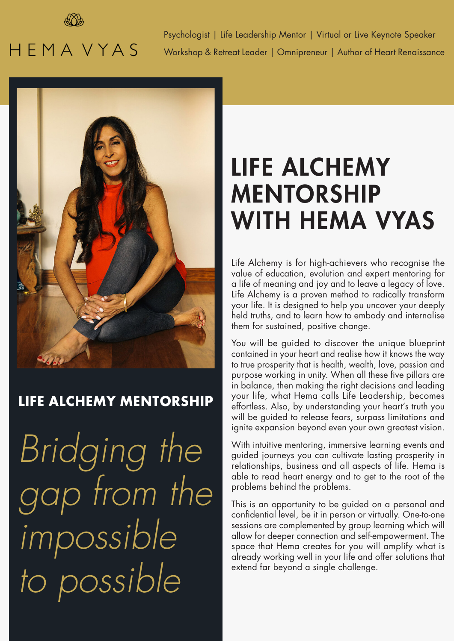

## **HEMAVYAS**

Psychologist | Life Leadership Mentor | Virtual or Live Keynote Speaker Workshop & Retreat Leader | Omnipreneur | Author of Heart Renaissance



## **LIFE ALCHEMY MENTORSHIP**

*Bridging the gap from the impossible to possible*

## LIFE ALCHEMY MENTORSHIP WITH HEMA VYAS

Life Alchemy is for high-achievers who recognise the value of education, evolution and expert mentoring for a life of meaning and joy and to leave a legacy of love. Life Alchemy is a proven method to radically transform your life. It is designed to help you uncover your deeply held truths, and to learn how to embody and internalise them for sustained, positive change.

You will be guided to discover the unique blueprint contained in your heart and realise how it knows the way to true prosperity that is health, wealth, love, passion and purpose working in unity. When all these five pillars are in balance, then making the right decisions and leading your life, what Hema calls Life Leadership, becomes effortless. Also, by understanding your heart's truth you will be guided to release fears, surpass limitations and ignite expansion beyond even your own greatest vision.

With intuitive mentoring, immersive learning events and guided journeys you can cultivate lasting prosperity in relationships, business and all aspects of life. Hema is able to read heart energy and to get to the root of the problems behind the problems.

This is an opportunity to be guided on a personal and confidential level, be it in person or virtually. One-to-one sessions are complemented by group learning which will allow for deeper connection and self-empowerment. The space that Hema creates for you will amplify what is already working well in your life and offer solutions that extend far beyond a single challenge.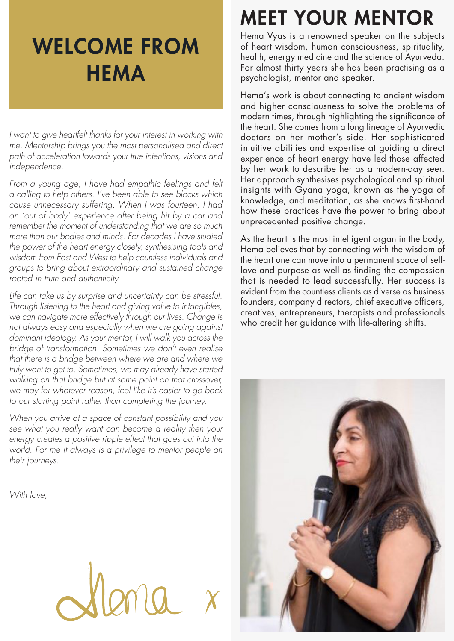## WELCOME FROM **HEMA**

*I* want to give heartfelt thanks for your interest in working with *me. Mentorship brings you the most personalised and direct path of acceleration towards your true intentions, visions and independence.*

*From a young age, I have had empathic feelings and felt a calling to help others. I've been able to see blocks which cause unnecessary suffering. When I was fourteen, I had an 'out of body' experience after being hit by a car and remember the moment of understanding that we are so much more than our bodies and minds. For decades I have studied the power of the heart energy closely, synthesising tools and wisdom from East and West to help countless individuals and groups to bring about extraordinary and sustained change rooted in truth and authenticity.*

*Life can take us by surprise and uncertainty can be stressful. Through listening to the heart and giving value to intangibles, we can navigate more effectively through our lives. Change is not always easy and especially when we are going against dominant ideology. As your mentor, I will walk you across the bridge of transformation. Sometimes we don't even realise that there is a bridge between where we are and where we truly want to get to. Sometimes, we may already have started walking on that bridge but at some point on that crossover, we may for whatever reason, feel like it's easier to go back to our starting point rather than completing the journey.*

*When you arrive at a space of constant possibility and you see what you really want can become a reality then your energy creates a positive ripple effect that goes out into the world. For me it always is a privilege to mentor people on their journeys.*

*With love,*

## MEET YOUR MENTOR

Hema Vyas is a renowned speaker on the subjects of heart wisdom, human consciousness, spirituality, health, energy medicine and the science of Ayurveda. For almost thirty years she has been practising as a psychologist, mentor and speaker.

Hema's work is about connecting to ancient wisdom and higher consciousness to solve the problems of modern times, through highlighting the significance of the heart. She comes from a long lineage of Ayurvedic doctors on her mother's side. Her sophisticated intuitive abilities and expertise at guiding a direct experience of heart energy have led those affected by her work to describe her as a modern-day seer. Her approach synthesises psychological and spiritual insights with Gyana yoga, known as the yoga of knowledge, and meditation, as she knows first-hand how these practices have the power to bring about unprecedented positive change.

As the heart is the most intelligent organ in the body, Hema believes that by connecting with the wisdom of the heart one can move into a permanent space of selflove and purpose as well as finding the compassion that is needed to lead successfully. Her success is evident from the countless clients as diverse as business founders, company directors, chief executive officers, creatives, entrepreneurs, therapists and professionals who credit her guidance with life-altering shifts.

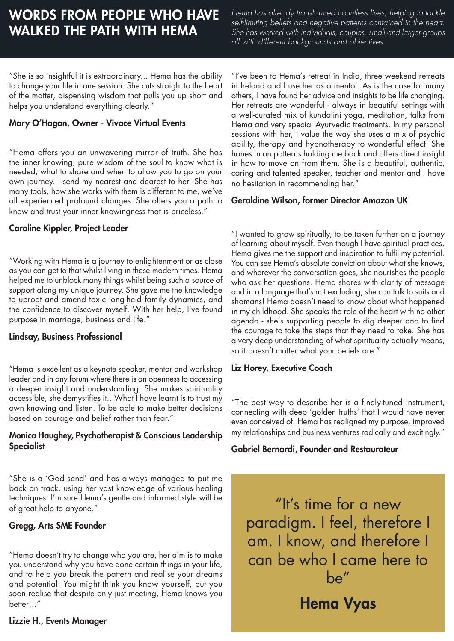## WORDS FROM PEOPLE WHO HAVE WALKED THE PATH WITH HEMA

*Hema has already transformed countless lives, helping to tackle self-limiting beliefs and negative patterns contained in the heart. She has worked with individuals, couples, small and larger groups all with different backgrounds and objectives.*

"She is so insightful it is extraordinary... Hema has the ability to change your life in one session. She cuts straight to the heart of the matter, dispensing wisdom that pulls you up short and helps you understand everything clearly."

#### Mary O'Hagan, Owner - Vivace Virtual Events

"Hema offers you an unwavering mirror of truth. She has the inner knowing, pure wisdom of the soul to know what is needed, what to share and when to allow you to go on your own journey. I send my nearest and dearest to her. She has many tools, how she works with them is different to me, we've all experienced profound changes. She offers you a path to know and trust your inner knowingness that is priceless."

"Working with Hema is a journey to enlightenment or as close as you can get to that whilst living in these modern times. Hema helped me to unblock many things whilst being such a source of support along my unique journey. She gave me the knowledge to uproot and amend toxic long-held family dynamics, and the confidence to discover myself. With her help, I've found purpose in marriage, business and life."

### Lindsay, Business Professional

"Hema is excellent as a keynote speaker, mentor and workshop Liz Horey, Executive Coach leader and in any forum where there is an openness to accessing a deeper insight and understanding. She makes spirituality accessible, she demystifies it...What I have learnt is to trust my own knowing and listen. To be able to make better decisions based on courage and belief rather than fear."

#### Monica Haughey, Psychotherapist & Conscious Leadership **Specialist**

"She is a 'God send' and has always managed to put me back on track, using her vast knowledge of various healing techniques. I'm sure Hema's gentle and informed style will be of great help to anyone."

### Gregg, Arts SME Founder

"Hema doesn't try to change who you are, her aim is to make you understand why you have done certain things in your life, and to help you break the pattern and realise your dreams and potential. You might think you know yourself, but you soon realise that despite only just meeting, Hema knows you better…"

### Lizzie H., Events Manager

"I've been to Hema's retreat in India, three weekend retreats in Ireland and I use her as a mentor. As is the case for many others, I have found her advice and insights to be life changing. Her retreats are wonderful - always in beautiful settings with a well-curated mix of kundalini yoga, meditation, talks from Hema and very special Ayurvedic treatments. In my personal sessions with her, I value the way she uses a mix of psychic ability, therapy and hypnotherapy to wonderful effect. She hones in on patterns holding me back and offers direct insight in how to move on from them. She is a beautiful, authentic, caring and talented speaker, teacher and mentor and I have no hesitation in recommending her."

### Geraldine Wilson, former Director Amazon UK

**Caroline Kippler, Project Leader** "I wanted to grow spiritually, to be taken further on a journey of learning about myself. Even though I have spiritual practices, Hema gives me the support and inspiration to fulfil my potential. You can see Hema's absolute conviction about what she knows, and wherever the conversation goes, she nourishes the people who ask her questions. Hema shares with clarity of message and in a language that's not excluding, she can talk to suits and shamans! Hema doesn't need to know about what happened in my childhood. She speaks the role of the heart with no other agenda - she's supporting people to dig deeper and to find the courage to take the steps that they need to take. She has a very deep understanding of what spirituality actually means, so it doesn't matter what your beliefs are."

"The best way to describe her is a finely-tuned instrument, connecting with deep 'golden truths' that I would have never even conceived of. Hema has realigned my purpose, improved my relationships and business ventures radically and excitingly."

### Gabriel Bernardi, Founder and Restaurateur

"It's time for a new paradigm. I feel, therefore I am. I know, and therefore I can be who I came here to be" Hema Vyas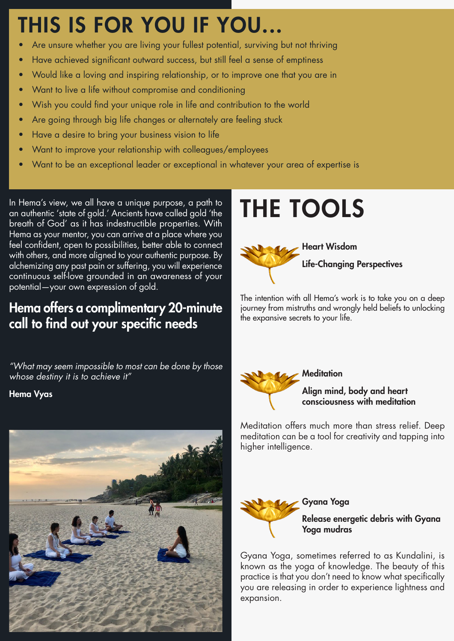## THIS IS FOR YOU IF YOU...

- Are unsure whether you are living your fullest potential, surviving but not thriving
- Have achieved significant outward success, but still feel a sense of emptiness
- Would like a loving and inspiring relationship, or to improve one that you are in
- Want to live a life without compromise and conditioning
- Wish you could find your unique role in life and contribution to the world
- Are going through big life changes or alternately are feeling stuck
- Have a desire to bring your business vision to life
- Want to improve your relationship with colleagues/employees
- Want to be an exceptional leader or exceptional in whatever your area of expertise is

In Hema's view, we all have a unique purpose, a path to an authentic 'state of gold.' Ancients have called gold 'the breath of God' as it has indestructible properties. With Hema as your mentor, you can arrive at a place where you feel confident, open to possibilities, better able to connect with others, and more aligned to your authentic purpose. By alchemizing any past pain or suffering, you will experience continuous self-love grounded in an awareness of your potential—your own expression of gold.

### Hema offers a complimentary 20-minute call to find out your specific needs

*"What may seem impossible to most can be done by those whose destiny it is to achieve it"* 

Hema Vyas



## THE TOOLS



The intention with all Hema's work is to take you on a deep journey from mistruths and wrongly held beliefs to unlocking the expansive secrets to your life.



### Align mind, body and heart consciousness with meditation

Meditation offers much more than stress relief. Deep meditation can be a tool for creativity and tapping into higher intelligence.



### Release energetic debris with Gyana Yoga mudras

Gyana Yoga, sometimes referred to as Kundalini, is known as the yoga of knowledge. The beauty of this practice is that you don't need to know what specifically you are releasing in order to experience lightness and expansion.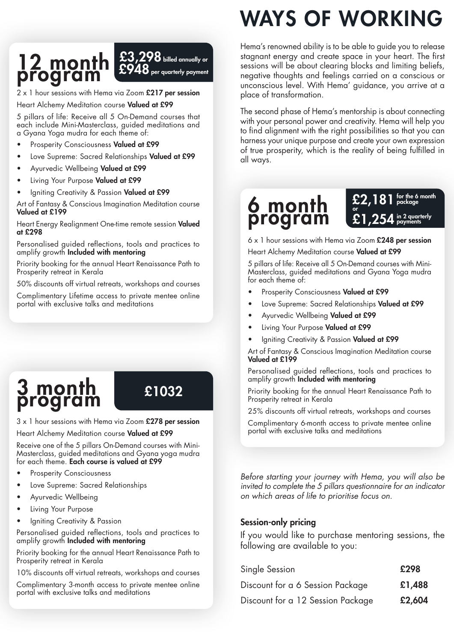## $12$  month  $^{53}_{52}$ program

 $\mathbf 3$  billed annually or per quarterly payment

2 x 1 hour sessions with Hema via Zoom £217 per session Heart Alchemy Meditation course Valued at £99

5 pillars of life: Receive all 5 On-Demand courses that each include Mini-Masterclass, guided meditations and a Gyana Yoga mudra for each theme of:

- Prosperity Consciousness Valued at £99
- Love Supreme: Sacred Relationships Valued at £99
- Ayurvedic Wellbeing Valued at £99
- Living Your Purpose Valued at £99
- Igniting Creativity & Passion Valued at £99

Art of Fantasy & Conscious Imagination Meditation course Valued at £199

Heart Energy Realignment One-time remote session Valued at £298

Personalised guided reflections, tools and practices to amplify growth Included with mentoring

Priority booking for the annual Heart Renaissance Path to Prosperity retreat in Kerala

50% discounts off virtual retreats, workshops and courses

Complimentary Lifetime access to private mentee online portal with exclusive talks and meditations

## 3 month program

£1032

 $3 \times 1$  hour sessions with Hema via Zoom £278 per session

Heart Alchemy Meditation course Valued at £99

Receive one of the 5 pillars On-Demand courses with Mini-Masterclass, guided meditations and Gyana yoga mudra for each theme. Each course is valued at £99

- Prosperity Consciousness
- Love Supreme: Sacred Relationships
- Ayurvedic Wellbeing
- Living Your Purpose
- lgniting Creativity & Passion

Personalised guided reflections, tools and practices to amplify growth **Included with mentoring** 

Priority booking for the annual Heart Renaissance Path to Prosperity retreat in Kerala

10% discounts off virtual retreats, workshops and courses

Complimentary 3-month access to private mentee online portal with exclusive talks and meditations

# WAYS OF WORKING

Hema's renowned ability is to be able to guide you to release stagnant energy and create space in your heart. The first sessions will be about clearing blocks and limiting beliefs, negative thoughts and feelings carried on a conscious or unconscious level. With Hema' guidance, you arrive at a place of transformation.

The second phase of Hema's mentorship is about connecting with your personal power and creativity. Hema will help you to find alignment with the right possibilities so that you can harness your unique purpose and create your own expression of true prosperity, which is the reality of being fulfilled in all ways.

### 6 month program or



 $6 \times 1$  hour sessions with Hema via Zoom £248 per session

Heart Alchemy Meditation course Valued at £99

5 pillars of life: Receive all 5 On-Demand courses with Mini-Masterclass, guided meditations and Gyana Yoga mudra for each theme of:

- Prosperity Consciousness Valued at £99
- Love Supreme: Sacred Relationships Valued at £99
- Ayurvedic Wellbeing Valued at £99
- Living Your Purpose Valued at £99
- laniting Creativity & Passion Valued at £99

Art of Fantasy & Conscious Imagination Meditation course Valued at £199

Personalised guided reflections, tools and practices to amplify growth Included with mentoring

Priority booking for the annual Heart Renaissance Path to Prosperity retreat in Kerala

25% discounts off virtual retreats, workshops and courses

Complimentary 6-month access to private mentee online portal with exclusive talks and meditations

*Before starting your journey with Hema, you will also be invited to complete the 5 pillars questionnaire for an indicator on which areas of life to prioritise focus on.*

### Session-only pricing

If you would like to purchase mentoring sessions, the following are available to you:

| Single Session                    | £298   |
|-----------------------------------|--------|
| Discount for a 6 Session Package  | £1,488 |
| Discount for a 12 Session Package | £2,604 |